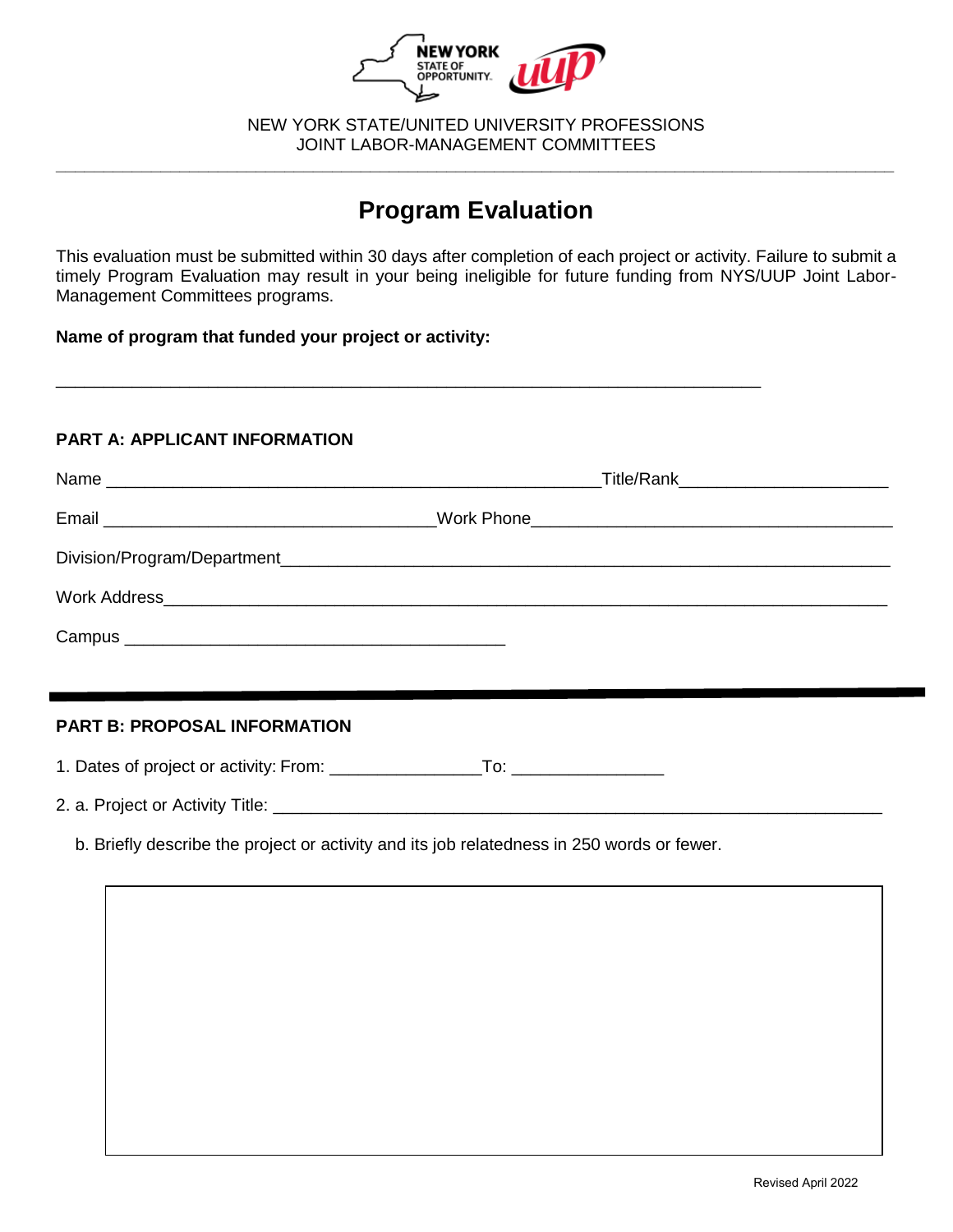

 NEW YORK STATE/UNITED UNIVERSITY PROFESSIONS **\_\_\_\_\_\_\_\_\_\_\_\_\_\_\_\_\_\_\_\_\_\_\_\_\_\_\_\_\_\_\_\_\_\_\_\_\_\_\_\_\_\_\_\_\_\_\_\_\_\_\_\_\_\_\_\_\_\_\_\_\_\_\_\_\_\_\_\_\_\_\_\_\_\_\_\_\_\_\_\_\_\_\_\_\_\_\_\_**  JOINT LABOR-MANAGEMENT COMMITTEES

## **Program Evaluation**

 This evaluation must be submitted within 30 days after completion of each project or activity. Failure to submit a timely Program Evaluation may result in your being ineligible for future funding from NYS/UUP Joint Labor-Management Committees programs.

\_\_\_\_\_\_\_\_\_\_\_\_\_\_\_\_\_\_\_\_\_\_\_\_\_\_\_\_\_\_\_\_\_\_\_\_\_\_\_\_\_\_\_\_\_\_\_\_\_\_\_\_\_\_\_\_\_\_\_\_\_\_\_\_\_\_\_\_\_\_\_\_\_\_

 **Name of program that funded your project or activity:** 

## **PART A: APPLICANT INFORMATION**

## **PART B: PROPOSAL INFORMATION**

1. Dates of project or activity: From: \_\_\_\_\_\_\_\_\_\_\_\_\_\_\_\_To: \_\_\_\_\_\_\_\_\_\_\_\_\_\_\_\_

2. a. Project or Activity Title: \_\_\_\_\_\_\_\_\_\_\_\_\_\_\_\_\_\_\_\_\_\_\_\_\_\_\_\_\_\_\_\_\_\_\_\_\_\_\_\_\_\_\_\_\_\_\_\_\_\_\_\_\_\_\_\_\_\_\_\_\_\_\_\_

b. Briefly describe the project or activity and its job relatedness in 250 words or fewer.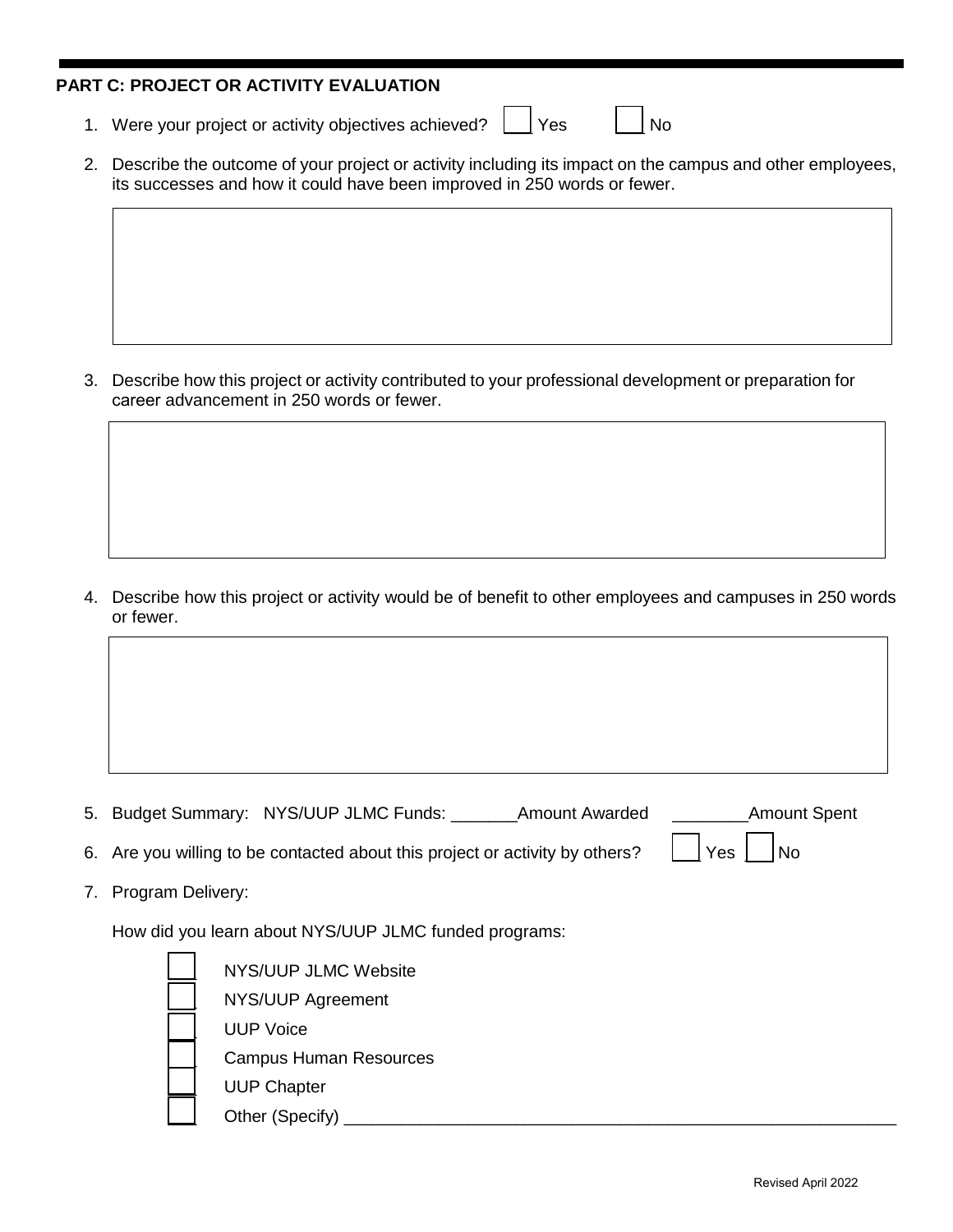## **PART C: PROJECT OR ACTIVITY EVALUATION**

1. Were your project or activity objectives achieved?  $\Box$  Yes  $\Box$  No

| 2. Describe the outcome of your project or activity including its impact on the campus and other employees, |
|-------------------------------------------------------------------------------------------------------------|
| its successes and how it could have been improved in 250 words or fewer.                                    |

 3. Describe how this project or activity contributed to your professional development or preparation for career advancement in 250 words or fewer.

 4. Describe how this project or activity would be of benefit to other employees and campuses in 250 words or fewer.

- 5. Budget Summary: NYS/UUP JLMC Funds: \_\_\_\_\_\_\_Amount Awarded \_\_\_\_\_\_\_\_Amount Spent Yes  $\vert \ \vert$ No
- 6. Are you willing to be contacted about this project or activity by others?
- 7. Program Delivery:

How did you learn about NYS/UUP JLMC funded programs:

| NYS/UUP JLMC Website          |
|-------------------------------|
| NYS/UUP Agreement             |
| <b>UUP Voice</b>              |
| <b>Campus Human Resources</b> |
| <b>UUP Chapter</b>            |
| Other (Specify)               |